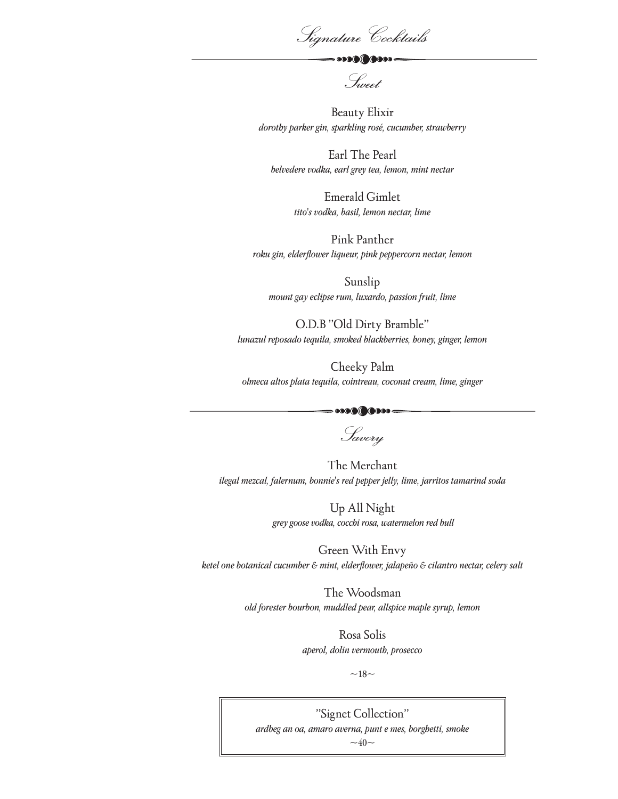Signature Cocktails

 $\sim$  0000 0000

Sweet

Beauty Elixir *dorothy parker gin, sparkling rosé, cucumber, strawberry* 

Earl The Pearl *belvedere vodka, earl grey tea, lemon, mint nectar*

> Emerald Gimlet *tito's vodka, basil, lemon nectar, lime*

Pink Panther *roku gin, elderflower liqueur, pink peppercorn nectar, lemon*

Sunslip *mount gay eclipse rum, luxardo, passion fruit, lime*

O.D.B "Old Dirty Bramble" *lunazul reposado tequila, smoked blackberries, honey, ginger, lemon*

Cheeky Palm *olmeca altos plata tequila, cointreau, coconut cream, lime, ginger*

> Savory

The Merchant *ilegal mezcal, falernum, bonnie's red pepper jelly, lime, jarritos tamarind soda*

> Up All Night  *grey goose vodka, cocchi rosa, watermelon red bull*

Green With Envy *ketel one botanical cucumber & mint, elderflower, jalapeño & cilantro nectar, celery salt*

> The Woodsman *old forester bourbon, muddled pear, allspice maple syrup, lemon*

> > Rosa Solis *aperol, dolin vermouth, prosecco*

> > > $~18~$

"Signet Collection" *ardbeg an oa, amaro averna, punt e mes, borghetti, smoke*  $~140~$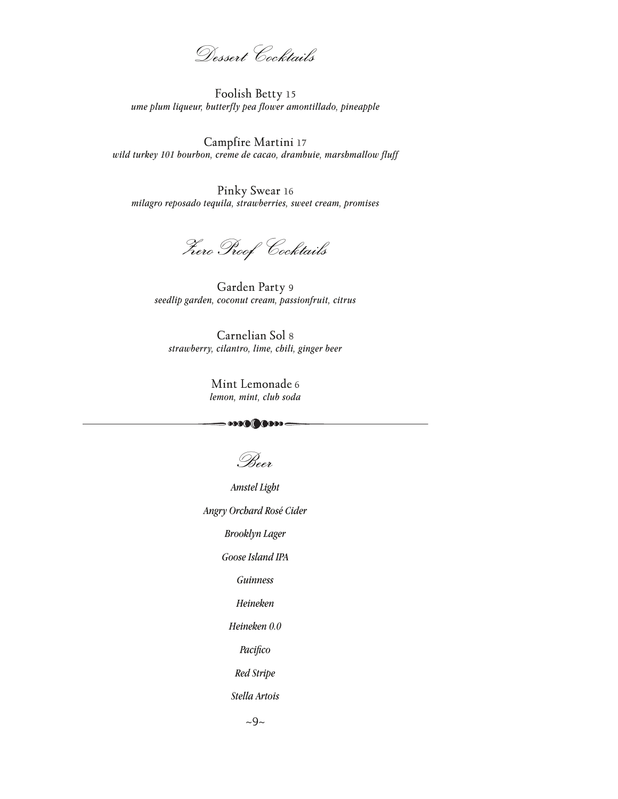Dessert Cocktails

Foolish Betty 15 *ume plum liqueur, butterfly pea flower amontillado, pineapple*

Campfire Martini 17 *wild turkey 101 bourbon, creme de cacao, drambuie, marshmallow fluff*

Pinky Swear 16 *milagro reposado tequila, strawberries, sweet cream, promises*

ZeroProof Cocktails

Garden Party 9 *seedlip garden, coconut cream, passionfruit, citrus*

Carnelian Sol 8 *strawberry, cilantro, lime, chili, ginger beer*

> Mint Lemonade 6 *lemon, mint, club soda*

 $\cdots$ 

Beer

*Amstel Light*

*Angry Orchard Rosé Cider*

*Brooklyn Lager*

*Goose Island IPA*

*Guinness*

*Heineken*

*Heineken 0.0*

*Pacifico*

*Red Stripe*

*Stella Artois*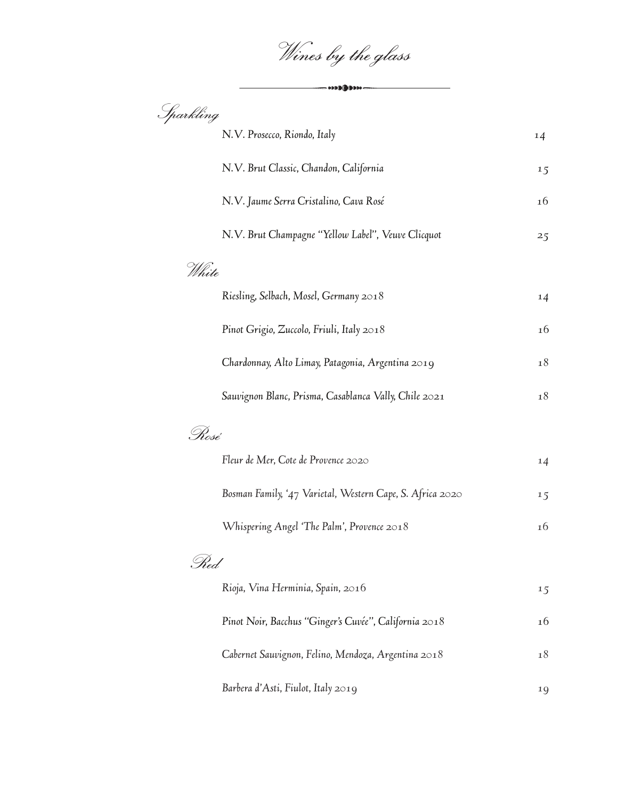Wines by the glass

— 000**00**000-

| Sparkling |                                                           |    |
|-----------|-----------------------------------------------------------|----|
|           | N.V. Prosecco, Riondo, Italy                              | 14 |
|           | N.V. Brut Classic, Chandon, California                    | 15 |
|           | N.V. Jaume Serra Cristalino, Cava Rosé                    | 16 |
|           | N.V. Brut Champagne "Yellow Label", Veuve Clicquot        | 25 |
| White     |                                                           |    |
|           | Riesling, Selbach, Mosel, Germany 2018                    | 14 |
|           | Pinot Grigio, Zuccolo, Friuli, Italy 2018                 | 16 |
|           | Chardonnay, Alto Limay, Patagonia, Argentina 2019         | 18 |
|           | Sauvignon Blanc, Prisma, Casablanca Vally, Chile 2021     | 18 |
| . Rosé    |                                                           |    |
|           | Fleur de Mer, Cote de Provence 2020                       | 14 |
|           | Bosman Family, '47 Varietal, Western Cape, S. Africa 2020 | 15 |
|           | Whispering Angel 'The Palm', Provence 2018                | 16 |
| . Red     |                                                           |    |
|           | Rioja, Vina Herminia, Spain, 2016                         | 15 |
|           | Pinot Noir, Bacchus "Ginger's Cuvée", California 2018     | 16 |
|           | Cabernet Sauvignon, Felino, Mendoza, Argentina 2018       | 18 |
|           | Barbera d'Asti, Fiulot, Italy 2019                        | 19 |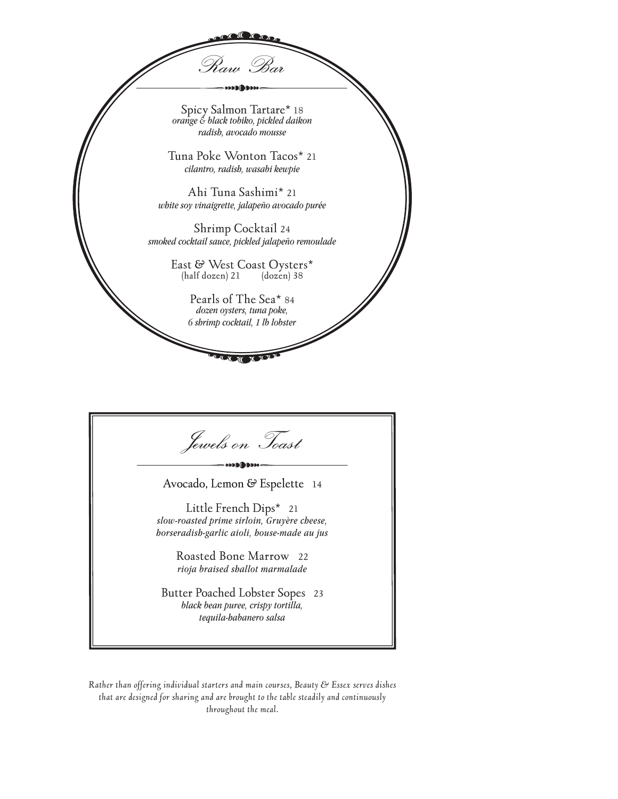

| Jewels on Toast                                                                                                      |  |
|----------------------------------------------------------------------------------------------------------------------|--|
| Avocado, Lemon & Espelette 14                                                                                        |  |
| Little French Dips* 21<br>slow-roasted prime sirloin, Gruyère cheese,<br>borseradish-garlic aioli, bouse-made au jus |  |
| Roasted Bone Marrow 22<br>rioja braised shallot marmalade                                                            |  |
| Butter Poached Lobster Sopes 23<br>black bean puree, crispy tortilla,<br>tequila-babanero salsa                      |  |

*Rather than offering individual starters and main courses, Beauty & Essex serves dishes that are designed for sharing and are brought to the table steadily and continuously throughout the meal.*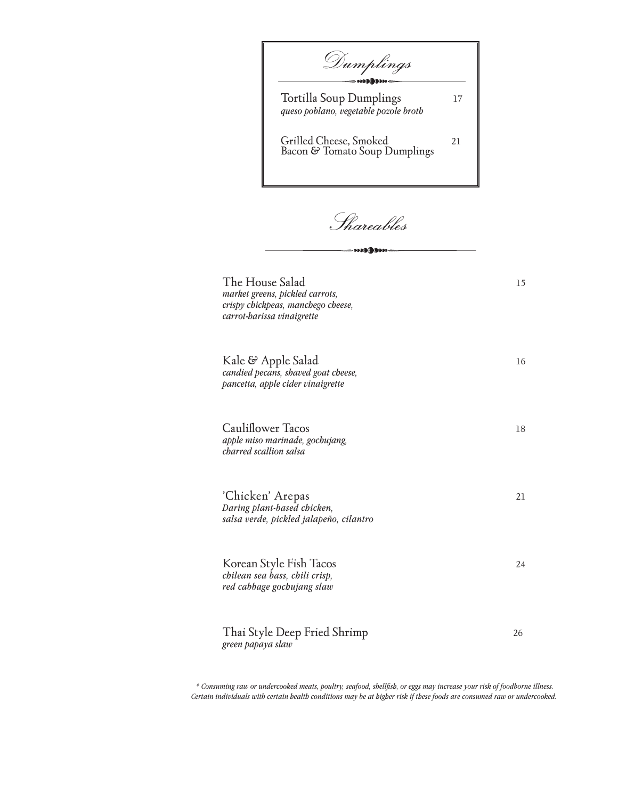Tortilla Soup Dumplings 17 *queso poblano, vegetable pozole broth* Grilled Cheese, Smoked 21 Bacon & Tomato Soup Dumplings Dumplings

Shareables

- \*\*\*\*\*\*\*\*\*

| The House Salad<br>market greens, pickled carrots,<br>crispy chickpeas, manchego cheese,<br>carrot-barissa vinaigrette | 15 |
|------------------------------------------------------------------------------------------------------------------------|----|
| Kale & Apple Salad<br>candied pecans, shaved goat cheese,<br>pancetta, apple cider vinaigrette                         | 16 |
| <b>Cauliflower Tacos</b><br>apple miso marinade, gochujang,<br>charred scallion salsa                                  | 18 |
| 'Chicken' Arepas<br>Daring plant-based chicken,<br>salsa verde, pickled jalapeño, cilantro                             | 21 |
| Korean Style Fish Tacos<br>chilean sea bass, chili crisp,<br>red cabbage gochujang slaw                                | 24 |
| Thai Style Deep Fried Shrimp<br>green papaya slaw                                                                      | 26 |

 *\* Consuming raw or undercooked meats, poultry, seafood, shellfish, or eggs may increase your risk of foodborne illness. Certain individuals with certain health conditions may be at higher risk if these foods are consumed raw or undercooked.*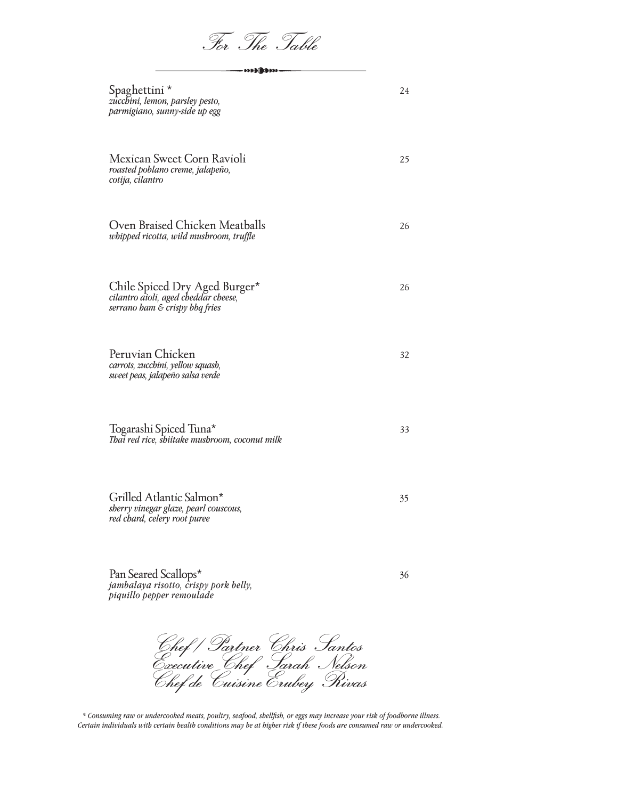For The Table

| Spaghettini*<br>zucchini, lemon, parsley pesto,<br>parmigiano, sunny-side up egg                        | 24 |
|---------------------------------------------------------------------------------------------------------|----|
| Mexican Sweet Corn Ravioli<br>roasted poblano creme, jalapeño,<br>cotija, cilantro                      | 25 |
| Oven Braised Chicken Meatballs<br>whipped ricotta, wild mushroom, truffle                               | 26 |
| Chile Spiced Dry Aged Burger*<br>cilantro aioli, aged cheddar cheese,<br>serrano ham & crispy bbq fries | 26 |
| Peruvian Chicken<br>carrots, zucchini, yellow squash,<br>sweet peas, jalapeño salsa verde               | 32 |
| Togarashi Spiced Tuna*<br>Thai red rice, shiitake mushroom, coconut milk                                | 33 |
| Grilled Atlantic Salmon*<br>sherry vinegar glaze, pearl couscous,<br>red chard, celery root puree       | 35 |
| Pan Seared Scallops*<br>jambalaya risotto, crispy pork belly,                                           | 36 |

Chef / Partner Chris Santos Executive Chef Sarah Nelson Chef de CuisineErubey Rivas

*piquillo pepper remoulade*

 *\* Consuming raw or undercooked meats, poultry, seafood, shellfish, or eggs may increase your risk of foodborne illness. Certain individuals with certain health conditions may be at higher risk if these foods are consumed raw or undercooked.*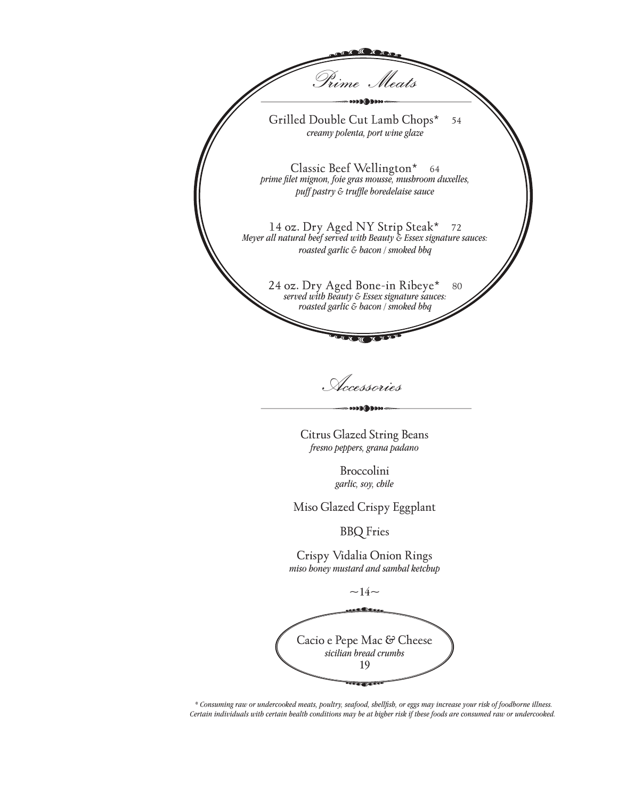

Accessories

**DO DO DO DO** 

Citrus Glazed String Beans *fresno peppers, grana padano*

> Broccolini *garlic, soy, chile*

Miso Glazed Crispy Eggplant

BBQ Fries

Crispy Vidalia Onion Rings *miso honey mustard and sambal ketchup*

 $\sim$ 14 $\sim$ 

Cacio e Pepe Mac & Cheese *sicilian bread crumbs* 19

 *\* Consuming raw or undercooked meats, poultry, seafood, shellfish, or eggs may increase your risk of foodborne illness. Certain individuals with certain health conditions may be at higher risk if these foods are consumed raw or undercooked.*